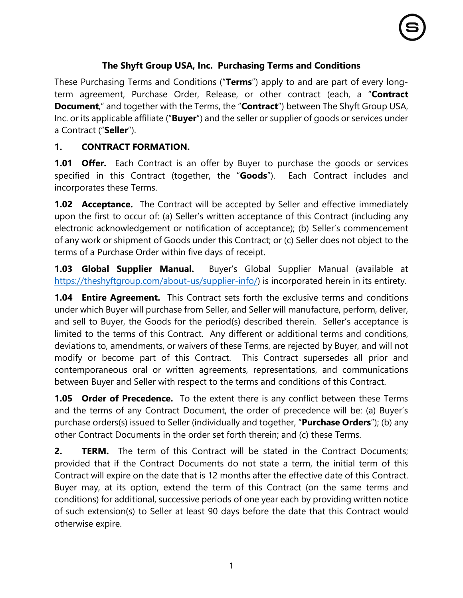# **The Shyft Group USA, Inc. Purchasing Terms and Conditions**

These Purchasing Terms and Conditions ("**Terms**") apply to and are part of every longterm agreement, Purchase Order, Release, or other contract (each, a "**Contract Document**," and together with the Terms, the "**Contract**") between The Shyft Group USA, Inc. or its applicable affiliate ("**Buyer**") and the seller or supplier of goods or services under a Contract ("**Seller**").

## **1. CONTRACT FORMATION.**

**1.01 Offer.** Each Contract is an offer by Buyer to purchase the goods or services specified in this Contract (together, the "**Goods**"). Each Contract includes and incorporates these Terms.

**1.02 Acceptance.** The Contract will be accepted by Seller and effective immediately upon the first to occur of: (a) Seller's written acceptance of this Contract (including any electronic acknowledgement or notification of acceptance); (b) Seller's commencement of any work or shipment of Goods under this Contract; or (c) Seller does not object to the terms of a Purchase Order within five days of receipt.

**1.03 Global Supplier Manual.** Buyer's Global Supplier Manual (available at [https://theshyftgroup.com/about-us/supplier-info/\)](https://theshyftgroup.com/about-us/supplier-info/) is incorporated herein in its entirety.

**1.04 Entire Agreement.** This Contract sets forth the exclusive terms and conditions under which Buyer will purchase from Seller, and Seller will manufacture, perform, deliver, and sell to Buyer, the Goods for the period(s) described therein. Seller's acceptance is limited to the terms of this Contract. Any different or additional terms and conditions, deviations to, amendments, or waivers of these Terms, are rejected by Buyer, and will not modify or become part of this Contract. This Contract supersedes all prior and contemporaneous oral or written agreements, representations, and communications between Buyer and Seller with respect to the terms and conditions of this Contract.

**1.05 Order of Precedence.** To the extent there is any conflict between these Terms and the terms of any Contract Document, the order of precedence will be: (a) Buyer's purchase orders(s) issued to Seller (individually and together, "**Purchase Orders**"); (b) any other Contract Documents in the order set forth therein; and (c) these Terms.

**2. TERM.** The term of this Contract will be stated in the Contract Documents; provided that if the Contract Documents do not state a term, the initial term of this Contract will expire on the date that is 12 months after the effective date of this Contract. Buyer may, at its option, extend the term of this Contract (on the same terms and conditions) for additional, successive periods of one year each by providing written notice of such extension(s) to Seller at least 90 days before the date that this Contract would otherwise expire.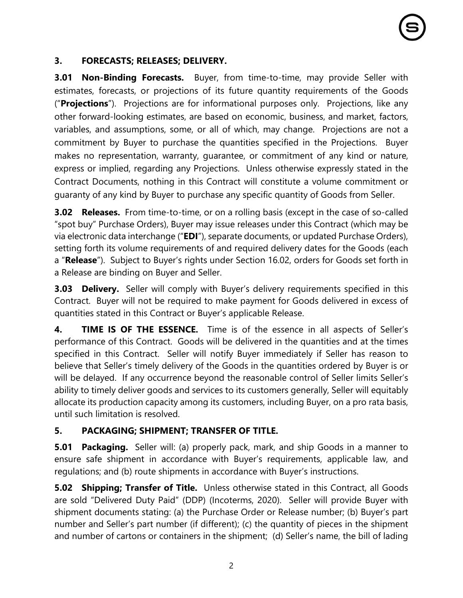#### **3. FORECASTS; RELEASES; DELIVERY.**

**3.01 Non-Binding Forecasts.** Buyer, from time-to-time, may provide Seller with estimates, forecasts, or projections of its future quantity requirements of the Goods ("**Projections**"). Projections are for informational purposes only. Projections, like any other forward-looking estimates, are based on economic, business, and market, factors, variables, and assumptions, some, or all of which, may change. Projections are not a commitment by Buyer to purchase the quantities specified in the Projections. Buyer makes no representation, warranty, guarantee, or commitment of any kind or nature, express or implied, regarding any Projections. Unless otherwise expressly stated in the Contract Documents, nothing in this Contract will constitute a volume commitment or guaranty of any kind by Buyer to purchase any specific quantity of Goods from Seller.

**3.02 Releases.** From time-to-time, or on a rolling basis (except in the case of so-called "spot buy" Purchase Orders), Buyer may issue releases under this Contract (which may be via electronic data interchange ("**EDI**"), separate documents, or updated Purchase Orders), setting forth its volume requirements of and required delivery dates for the Goods (each a "**Release**"). Subject to Buyer's rights under Section [16.02,](#page-10-0) orders for Goods set forth in a Release are binding on Buyer and Seller.

**3.03 Delivery.** Seller will comply with Buyer's delivery requirements specified in this Contract. Buyer will not be required to make payment for Goods delivered in excess of quantities stated in this Contract or Buyer's applicable Release.

**4. TIME IS OF THE ESSENCE.** Time is of the essence in all aspects of Seller's performance of this Contract. Goods will be delivered in the quantities and at the times specified in this Contract. Seller will notify Buyer immediately if Seller has reason to believe that Seller's timely delivery of the Goods in the quantities ordered by Buyer is or will be delayed. If any occurrence beyond the reasonable control of Seller limits Seller's ability to timely deliver goods and services to its customers generally, Seller will equitably allocate its production capacity among its customers, including Buyer, on a pro rata basis, until such limitation is resolved.

#### **5. PACKAGING; SHIPMENT; TRANSFER OF TITLE.**

**5.01 Packaging.** Seller will: (a) properly pack, mark, and ship Goods in a manner to ensure safe shipment in accordance with Buyer's requirements, applicable law, and regulations; and (b) route shipments in accordance with Buyer's instructions.

**5.02 Shipping; Transfer of Title.** Unless otherwise stated in this Contract, all Goods are sold "Delivered Duty Paid" (DDP) (Incoterms, 2020). Seller will provide Buyer with shipment documents stating: (a) the Purchase Order or Release number; (b) Buyer's part number and Seller's part number (if different); (c) the quantity of pieces in the shipment and number of cartons or containers in the shipment; (d) Seller's name, the bill of lading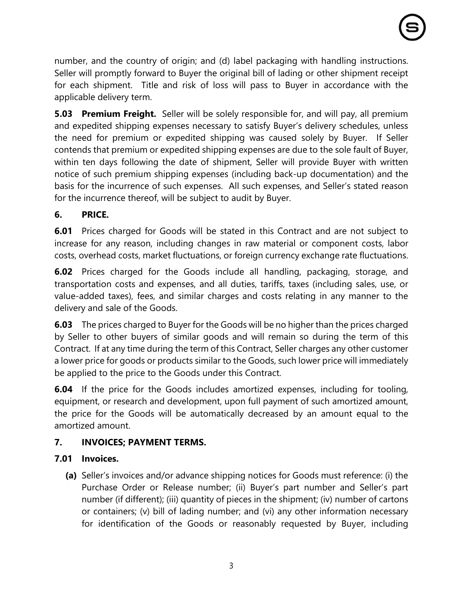number, and the country of origin; and (d) label packaging with handling instructions. Seller will promptly forward to Buyer the original bill of lading or other shipment receipt for each shipment. Title and risk of loss will pass to Buyer in accordance with the applicable delivery term.

**5.03 Premium Freight.** Seller will be solely responsible for, and will pay, all premium and expedited shipping expenses necessary to satisfy Buyer's delivery schedules, unless the need for premium or expedited shipping was caused solely by Buyer. If Seller contends that premium or expedited shipping expenses are due to the sole fault of Buyer, within ten days following the date of shipment, Seller will provide Buyer with written notice of such premium shipping expenses (including back-up documentation) and the basis for the incurrence of such expenses. All such expenses, and Seller's stated reason for the incurrence thereof, will be subject to audit by Buyer.

## **6. PRICE.**

**6.01** Prices charged for Goods will be stated in this Contract and are not subject to increase for any reason, including changes in raw material or component costs, labor costs, overhead costs, market fluctuations, or foreign currency exchange rate fluctuations.

**6.02** Prices charged for the Goods include all handling, packaging, storage, and transportation costs and expenses, and all duties, tariffs, taxes (including sales, use, or value-added taxes), fees, and similar charges and costs relating in any manner to the delivery and sale of the Goods.

**6.03** The prices charged to Buyer for the Goods will be no higher than the prices charged by Seller to other buyers of similar goods and will remain so during the term of this Contract. If at any time during the term of this Contract, Seller charges any other customer a lower price for goods or products similar to the Goods, such lower price will immediately be applied to the price to the Goods under this Contract.

**6.04** If the price for the Goods includes amortized expenses, including for tooling, equipment, or research and development, upon full payment of such amortized amount, the price for the Goods will be automatically decreased by an amount equal to the amortized amount.

# **7. INVOICES; PAYMENT TERMS.**

# **7.01 Invoices.**

**(a)** Seller's invoices and/or advance shipping notices for Goods must reference: (i) the Purchase Order or Release number; (ii) Buyer's part number and Seller's part number (if different); (iii) quantity of pieces in the shipment; (iv) number of cartons or containers; (v) bill of lading number; and (vi) any other information necessary for identification of the Goods or reasonably requested by Buyer, including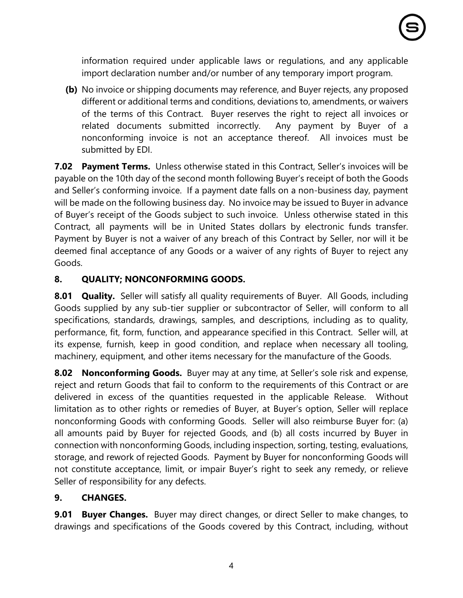information required under applicable laws or regulations, and any applicable import declaration number and/or number of any temporary import program.

**(b)** No invoice or shipping documents may reference, and Buyer rejects, any proposed different or additional terms and conditions, deviations to, amendments, or waivers of the terms of this Contract. Buyer reserves the right to reject all invoices or related documents submitted incorrectly. Any payment by Buyer of a nonconforming invoice is not an acceptance thereof. All invoices must be submitted by EDI.

**7.02 Payment Terms.** Unless otherwise stated in this Contract, Seller's invoices will be payable on the 10th day of the second month following Buyer's receipt of both the Goods and Seller's conforming invoice. If a payment date falls on a non-business day, payment will be made on the following business day. No invoice may be issued to Buyer in advance of Buyer's receipt of the Goods subject to such invoice. Unless otherwise stated in this Contract, all payments will be in United States dollars by electronic funds transfer. Payment by Buyer is not a waiver of any breach of this Contract by Seller, nor will it be deemed final acceptance of any Goods or a waiver of any rights of Buyer to reject any Goods.

## **8. QUALITY; NONCONFORMING GOODS.**

**8.01 Quality.** Seller will satisfy all quality requirements of Buyer. All Goods, including Goods supplied by any sub-tier supplier or subcontractor of Seller, will conform to all specifications, standards, drawings, samples, and descriptions, including as to quality, performance, fit, form, function, and appearance specified in this Contract. Seller will, at its expense, furnish, keep in good condition, and replace when necessary all tooling, machinery, equipment, and other items necessary for the manufacture of the Goods.

**8.02 Nonconforming Goods.** Buyer may at any time, at Seller's sole risk and expense, reject and return Goods that fail to conform to the requirements of this Contract or are delivered in excess of the quantities requested in the applicable Release. Without limitation as to other rights or remedies of Buyer, at Buyer's option, Seller will replace nonconforming Goods with conforming Goods. Seller will also reimburse Buyer for: (a) all amounts paid by Buyer for rejected Goods, and (b) all costs incurred by Buyer in connection with nonconforming Goods, including inspection, sorting, testing, evaluations, storage, and rework of rejected Goods. Payment by Buyer for nonconforming Goods will not constitute acceptance, limit, or impair Buyer's right to seek any remedy, or relieve Seller of responsibility for any defects.

# **9. CHANGES.**

**9.01 Buyer Changes.** Buyer may direct changes, or direct Seller to make changes, to drawings and specifications of the Goods covered by this Contract, including, without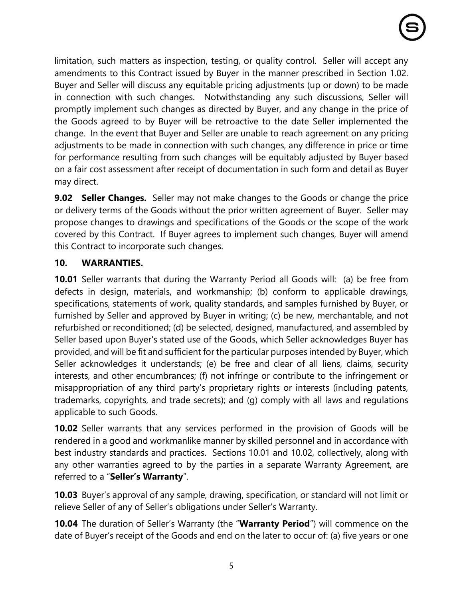limitation, such matters as inspection, testing, or quality control. Seller will accept any amendments to this Contract issued by Buyer in the manner prescribed in Section 1.02. Buyer and Seller will discuss any equitable pricing adjustments (up or down) to be made in connection with such changes. Notwithstanding any such discussions, Seller will promptly implement such changes as directed by Buyer, and any change in the price of the Goods agreed to by Buyer will be retroactive to the date Seller implemented the change. In the event that Buyer and Seller are unable to reach agreement on any pricing adjustments to be made in connection with such changes, any difference in price or time for performance resulting from such changes will be equitably adjusted by Buyer based on a fair cost assessment after receipt of documentation in such form and detail as Buyer may direct.

**9.02 Seller Changes.** Seller may not make changes to the Goods or change the price or delivery terms of the Goods without the prior written agreement of Buyer. Seller may propose changes to drawings and specifications of the Goods or the scope of the work covered by this Contract. If Buyer agrees to implement such changes, Buyer will amend this Contract to incorporate such changes.

## **10. WARRANTIES.**

**10.01** Seller warrants that during the Warranty Period all Goods will: (a) be free from defects in design, materials, and workmanship; (b) conform to applicable drawings, specifications, statements of work, quality standards, and samples furnished by Buyer, or furnished by Seller and approved by Buyer in writing; (c) be new, merchantable, and not refurbished or reconditioned; (d) be selected, designed, manufactured, and assembled by Seller based upon Buyer's stated use of the Goods, which Seller acknowledges Buyer has provided, and will be fit and sufficient for the particular purposes intended by Buyer, which Seller acknowledges it understands; (e) be free and clear of all liens, claims, security interests, and other encumbrances; (f) not infringe or contribute to the infringement or misappropriation of any third party's proprietary rights or interests (including patents, trademarks, copyrights, and trade secrets); and (g) comply with all laws and regulations applicable to such Goods.

**10.02** Seller warrants that any services performed in the provision of Goods will be rendered in a good and workmanlike manner by skilled personnel and in accordance with best industry standards and practices. Sections 10.01 and 10.02, collectively, along with any other warranties agreed to by the parties in a separate Warranty Agreement, are referred to a "**Seller's Warranty**".

**10.03** Buyer's approval of any sample, drawing, specification, or standard will not limit or relieve Seller of any of Seller's obligations under Seller's Warranty.

**10.04** The duration of Seller's Warranty (the "**Warranty Period**") will commence on the date of Buyer's receipt of the Goods and end on the later to occur of: (a) five years or one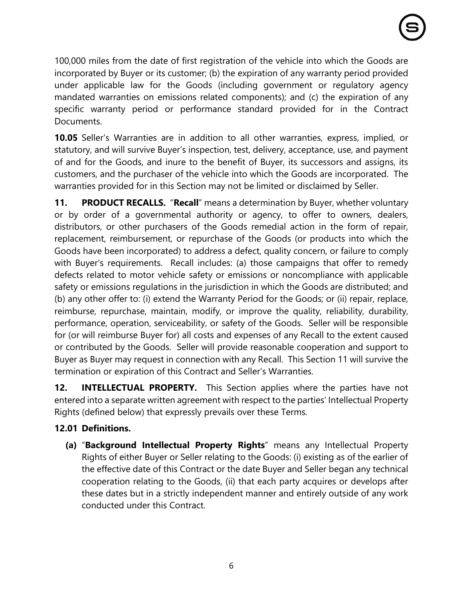100,000 miles from the date of first registration of the vehicle into which the Goods are incorporated by Buyer or its customer; (b) the expiration of any warranty period provided under applicable law for the Goods (including government or regulatory agency mandated warranties on emissions related components); and (c) the expiration of any specific warranty period or performance standard provided for in the Contract Documents.

**10.05** Seller's Warranties are in addition to all other warranties, express, implied, or statutory, and will survive Buyer's inspection, test, delivery, acceptance, use, and payment of and for the Goods, and inure to the benefit of Buyer, its successors and assigns, its customers, and the purchaser of the vehicle into which the Goods are incorporated. The warranties provided for in this Section may not be limited or disclaimed by Seller.

**11. PRODUCT RECALLS.** "**Recall**" means a determination by Buyer, whether voluntary or by order of a governmental authority or agency, to offer to owners, dealers, distributors, or other purchasers of the Goods remedial action in the form of repair, replacement, reimbursement, or repurchase of the Goods (or products into which the Goods have been incorporated) to address a defect, quality concern, or failure to comply with Buyer's requirements. Recall includes: (a) those campaigns that offer to remedy defects related to motor vehicle safety or emissions or noncompliance with applicable safety or emissions regulations in the jurisdiction in which the Goods are distributed; and (b) any other offer to: (i) extend the Warranty Period for the Goods; or (ii) repair, replace, reimburse, repurchase, maintain, modify, or improve the quality, reliability, durability, performance, operation, serviceability, or safety of the Goods. Seller will be responsible for (or will reimburse Buyer for) all costs and expenses of any Recall to the extent caused or contributed by the Goods. Seller will provide reasonable cooperation and support to Buyer as Buyer may request in connection with any Recall. This Section [11](#page-5-0) will survive the termination or expiration of this Contract and Seller's Warranties.

<span id="page-5-0"></span>**12. INTELLECTUAL PROPERTY.** This Section applies where the parties have not entered into a separate written agreement with respect to the parties' Intellectual Property Rights (defined below) that expressly prevails over these Terms.

# **12.01 Definitions.**

**(a)** "**Background Intellectual Property Rights**" means any Intellectual Property Rights of either Buyer or Seller relating to the Goods: (i) existing as of the earlier of the effective date of this Contract or the date Buyer and Seller began any technical cooperation relating to the Goods, (ii) that each party acquires or develops after these dates but in a strictly independent manner and entirely outside of any work conducted under this Contract.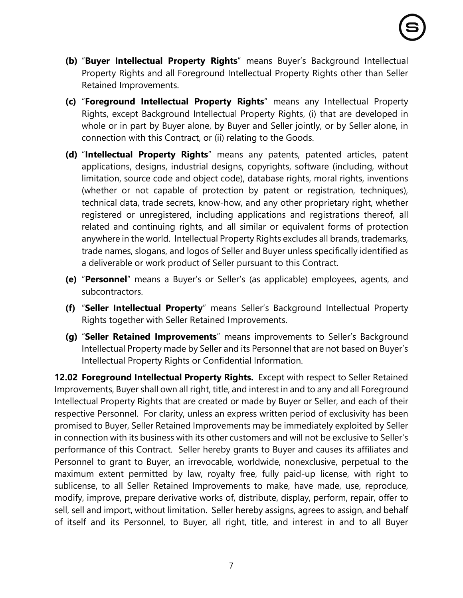- **(b)** "**Buyer Intellectual Property Rights**" means Buyer's Background Intellectual Property Rights and all Foreground Intellectual Property Rights other than Seller Retained Improvements.
- **(c)** "**Foreground Intellectual Property Rights**" means any Intellectual Property Rights, except Background Intellectual Property Rights, (i) that are developed in whole or in part by Buyer alone, by Buyer and Seller jointly, or by Seller alone, in connection with this Contract, or (ii) relating to the Goods.
- **(d)** "**Intellectual Property Rights**" means any patents, patented articles, patent applications, designs, industrial designs, copyrights, software (including, without limitation, source code and object code), database rights, moral rights, inventions (whether or not capable of protection by patent or registration, techniques), technical data, trade secrets, know-how, and any other proprietary right, whether registered or unregistered, including applications and registrations thereof, all related and continuing rights, and all similar or equivalent forms of protection anywhere in the world. Intellectual Property Rights excludes all brands, trademarks, trade names, slogans, and logos of Seller and Buyer unless specifically identified as a deliverable or work product of Seller pursuant to this Contract.
- **(e)** "**Personnel**" means a Buyer's or Seller's (as applicable) employees, agents, and subcontractors.
- **(f)** "**Seller Intellectual Property**" means Seller's Background Intellectual Property Rights together with Seller Retained Improvements.
- **(g)** "**Seller Retained Improvements**" means improvements to Seller's Background Intellectual Property made by Seller and its Personnel that are not based on Buyer's Intellectual Property Rights or Confidential Information.

**12.02 Foreground Intellectual Property Rights.** Except with respect to Seller Retained Improvements, Buyer shall own all right, title, and interest in and to any and all Foreground Intellectual Property Rights that are created or made by Buyer or Seller, and each of their respective Personnel. For clarity, unless an express written period of exclusivity has been promised to Buyer, Seller Retained Improvements may be immediately exploited by Seller in connection with its business with its other customers and will not be exclusive to Seller's performance of this Contract. Seller hereby grants to Buyer and causes its affiliates and Personnel to grant to Buyer, an irrevocable, worldwide, nonexclusive, perpetual to the maximum extent permitted by law, royalty free, fully paid-up license, with right to sublicense, to all Seller Retained Improvements to make, have made, use, reproduce, modify, improve, prepare derivative works of, distribute, display, perform, repair, offer to sell, sell and import, without limitation. Seller hereby assigns, agrees to assign, and behalf of itself and its Personnel, to Buyer, all right, title, and interest in and to all Buyer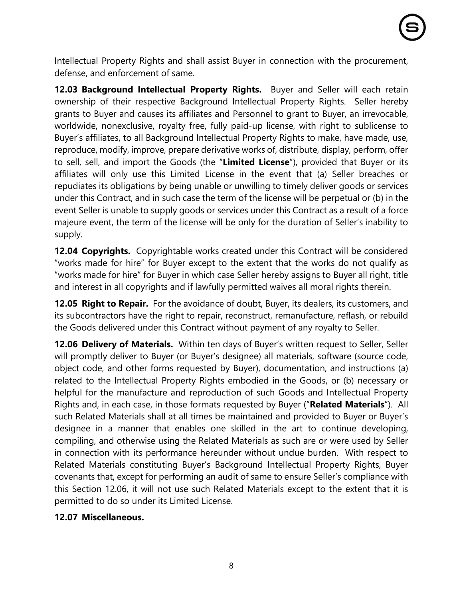Intellectual Property Rights and shall assist Buyer in connection with the procurement, defense, and enforcement of same.

**12.03 Background Intellectual Property Rights.** Buyer and Seller will each retain ownership of their respective Background Intellectual Property Rights. Seller hereby grants to Buyer and causes its affiliates and Personnel to grant to Buyer, an irrevocable, worldwide, nonexclusive, royalty free, fully paid-up license, with right to sublicense to Buyer's affiliates, to all Background Intellectual Property Rights to make, have made, use, reproduce, modify, improve, prepare derivative works of, distribute, display, perform, offer to sell, sell, and import the Goods (the "**Limited License**"), provided that Buyer or its affiliates will only use this Limited License in the event that (a) Seller breaches or repudiates its obligations by being unable or unwilling to timely deliver goods or services under this Contract, and in such case the term of the license will be perpetual or (b) in the event Seller is unable to supply goods or services under this Contract as a result of a force majeure event, the term of the license will be only for the duration of Seller's inability to supply.

**12.04 Copyrights.** Copyrightable works created under this Contract will be considered "works made for hire" for Buyer except to the extent that the works do not qualify as "works made for hire" for Buyer in which case Seller hereby assigns to Buyer all right, title and interest in all copyrights and if lawfully permitted waives all moral rights therein.

**12.05 Right to Repair.** For the avoidance of doubt, Buyer, its dealers, its customers, and its subcontractors have the right to repair, reconstruct, remanufacture, reflash, or rebuild the Goods delivered under this Contract without payment of any royalty to Seller.

**12.06 Delivery of Materials.** Within ten days of Buyer's written request to Seller, Seller will promptly deliver to Buyer (or Buyer's designee) all materials, software (source code, object code, and other forms requested by Buyer), documentation, and instructions (a) related to the Intellectual Property Rights embodied in the Goods, or (b) necessary or helpful for the manufacture and reproduction of such Goods and Intellectual Property Rights and, in each case, in those formats requested by Buyer ("**Related Materials**"). All such Related Materials shall at all times be maintained and provided to Buyer or Buyer's designee in a manner that enables one skilled in the art to continue developing, compiling, and otherwise using the Related Materials as such are or were used by Seller in connection with its performance hereunder without undue burden. With respect to Related Materials constituting Buyer's Background Intellectual Property Rights, Buyer covenants that, except for performing an audit of same to ensure Seller's compliance with this Section 12.06, it will not use such Related Materials except to the extent that it is permitted to do so under its Limited License.

#### **12.07 Miscellaneous.**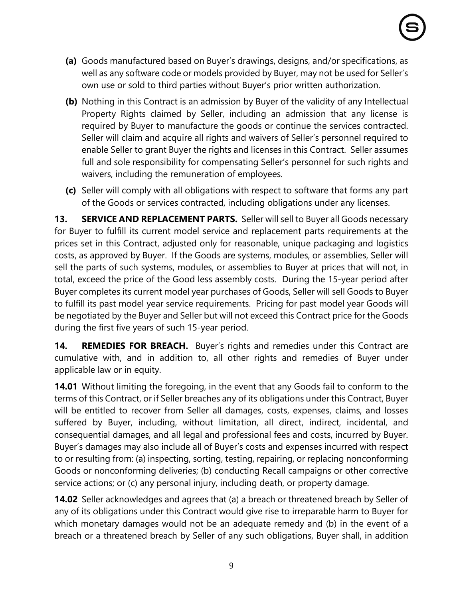- **(a)** Goods manufactured based on Buyer's drawings, designs, and/or specifications, as well as any software code or models provided by Buyer, may not be used for Seller's own use or sold to third parties without Buyer's prior written authorization.
- **(b)** Nothing in this Contract is an admission by Buyer of the validity of any Intellectual Property Rights claimed by Seller, including an admission that any license is required by Buyer to manufacture the goods or continue the services contracted. Seller will claim and acquire all rights and waivers of Seller's personnel required to enable Seller to grant Buyer the rights and licenses in this Contract. Seller assumes full and sole responsibility for compensating Seller's personnel for such rights and waivers, including the remuneration of employees.
- **(c)** Seller will comply with all obligations with respect to software that forms any part of the Goods or services contracted, including obligations under any licenses.

**13. SERVICE AND REPLACEMENT PARTS.** Seller will sell to Buyer all Goods necessary for Buyer to fulfill its current model service and replacement parts requirements at the prices set in this Contract, adjusted only for reasonable, unique packaging and logistics costs, as approved by Buyer. If the Goods are systems, modules, or assemblies, Seller will sell the parts of such systems, modules, or assemblies to Buyer at prices that will not, in total, exceed the price of the Good less assembly costs. During the 15-year period after Buyer completes its current model year purchases of Goods, Seller will sell Goods to Buyer to fulfill its past model year service requirements. Pricing for past model year Goods will be negotiated by the Buyer and Seller but will not exceed this Contract price for the Goods during the first five years of such 15-year period.

**14. REMEDIES FOR BREACH.** Buyer's rights and remedies under this Contract are cumulative with, and in addition to, all other rights and remedies of Buyer under applicable law or in equity.

**14.01** Without limiting the foregoing, in the event that any Goods fail to conform to the terms of this Contract, or if Seller breaches any of its obligations under this Contract, Buyer will be entitled to recover from Seller all damages, costs, expenses, claims, and losses suffered by Buyer, including, without limitation, all direct, indirect, incidental, and consequential damages, and all legal and professional fees and costs, incurred by Buyer. Buyer's damages may also include all of Buyer's costs and expenses incurred with respect to or resulting from: (a) inspecting, sorting, testing, repairing, or replacing nonconforming Goods or nonconforming deliveries; (b) conducting Recall campaigns or other corrective service actions; or (c) any personal injury, including death, or property damage.

**14.02** Seller acknowledges and agrees that (a) a breach or threatened breach by Seller of any of its obligations under this Contract would give rise to irreparable harm to Buyer for which monetary damages would not be an adequate remedy and (b) in the event of a breach or a threatened breach by Seller of any such obligations, Buyer shall, in addition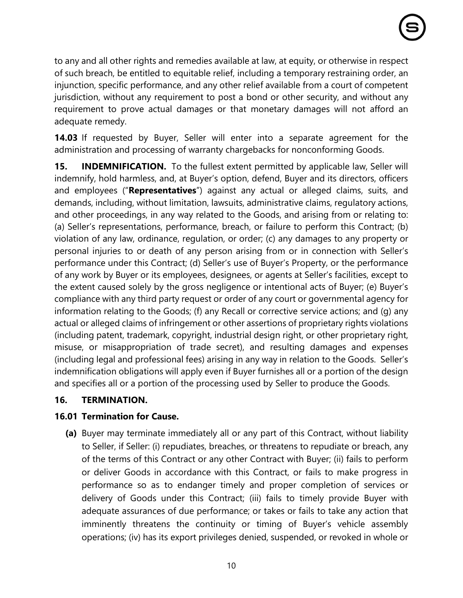to any and all other rights and remedies available at law, at equity, or otherwise in respect of such breach, be entitled to equitable relief, including a temporary restraining order, an injunction, specific performance, and any other relief available from a court of competent jurisdiction, without any requirement to post a bond or other security, and without any requirement to prove actual damages or that monetary damages will not afford an adequate remedy.

**14.03** If requested by Buyer, Seller will enter into a separate agreement for the administration and processing of warranty chargebacks for nonconforming Goods.

**15. INDEMNIFICATION.** To the fullest extent permitted by applicable law, Seller will indemnify, hold harmless, and, at Buyer's option, defend, Buyer and its directors, officers and employees ("**Representatives**") against any actual or alleged claims, suits, and demands, including, without limitation, lawsuits, administrative claims, regulatory actions, and other proceedings, in any way related to the Goods, and arising from or relating to: (a) Seller's representations, performance, breach, or failure to perform this Contract; (b) violation of any law, ordinance, regulation, or order; (c) any damages to any property or personal injuries to or death of any person arising from or in connection with Seller's performance under this Contract; (d) Seller's use of Buyer's Property, or the performance of any work by Buyer or its employees, designees, or agents at Seller's facilities, except to the extent caused solely by the gross negligence or intentional acts of Buyer; (e) Buyer's compliance with any third party request or order of any court or governmental agency for information relating to the Goods; (f) any Recall or corrective service actions; and (g) any actual or alleged claims of infringement or other assertions of proprietary rights violations (including patent, trademark, copyright, industrial design right, or other proprietary right, misuse, or misappropriation of trade secret), and resulting damages and expenses (including legal and professional fees) arising in any way in relation to the Goods. Seller's indemnification obligations will apply even if Buyer furnishes all or a portion of the design and specifies all or a portion of the processing used by Seller to produce the Goods.

## **16. TERMINATION.**

# **16.01 Termination for Cause.**

**(a)** Buyer may terminate immediately all or any part of this Contract, without liability to Seller, if Seller: (i) repudiates, breaches, or threatens to repudiate or breach, any of the terms of this Contract or any other Contract with Buyer; (ii) fails to perform or deliver Goods in accordance with this Contract, or fails to make progress in performance so as to endanger timely and proper completion of services or delivery of Goods under this Contract; (iii) fails to timely provide Buyer with adequate assurances of due performance; or takes or fails to take any action that imminently threatens the continuity or timing of Buyer's vehicle assembly operations; (iv) has its export privileges denied, suspended, or revoked in whole or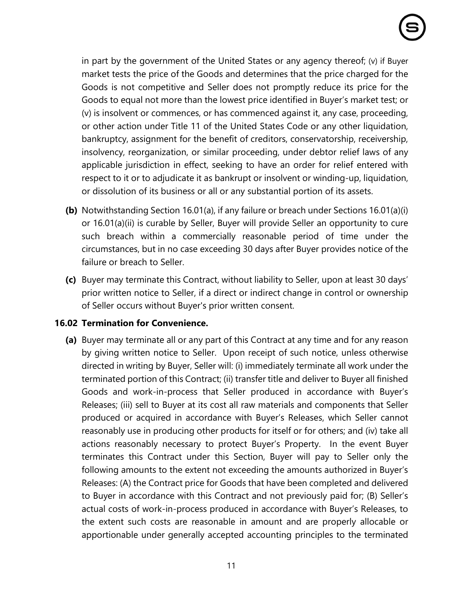in part by the government of the United States or any agency thereof; (v) if Buyer market tests the price of the Goods and determines that the price charged for the Goods is not competitive and Seller does not promptly reduce its price for the Goods to equal not more than the lowest price identified in Buyer's market test; or (v) is insolvent or commences, or has commenced against it, any case, proceeding, or other action under Title 11 of the United States Code or any other liquidation, bankruptcy, assignment for the benefit of creditors, conservatorship, receivership, insolvency, reorganization, or similar proceeding, under debtor relief laws of any applicable jurisdiction in effect, seeking to have an order for relief entered with respect to it or to adjudicate it as bankrupt or insolvent or winding-up, liquidation, or dissolution of its business or all or any substantial portion of its assets.

- **(b)** Notwithstanding Section 16.01(a), if any failure or breach under Sections 16.01(a)(i) or 16.01(a)(ii) is curable by Seller, Buyer will provide Seller an opportunity to cure such breach within a commercially reasonable period of time under the circumstances, but in no case exceeding 30 days after Buyer provides notice of the failure or breach to Seller.
- **(c)** Buyer may terminate this Contract, without liability to Seller, upon at least 30 days' prior written notice to Seller, if a direct or indirect change in control or ownership of Seller occurs without Buyer's prior written consent.

#### <span id="page-10-0"></span>**16.02 Termination for Convenience.**

**(a)** Buyer may terminate all or any part of this Contract at any time and for any reason by giving written notice to Seller. Upon receipt of such notice, unless otherwise directed in writing by Buyer, Seller will: (i) immediately terminate all work under the terminated portion of this Contract; (ii) transfer title and deliver to Buyer all finished Goods and work-in-process that Seller produced in accordance with Buyer's Releases; (iii) sell to Buyer at its cost all raw materials and components that Seller produced or acquired in accordance with Buyer's Releases, which Seller cannot reasonably use in producing other products for itself or for others; and (iv) take all actions reasonably necessary to protect Buyer's Property. In the event Buyer terminates this Contract under this Section, Buyer will pay to Seller only the following amounts to the extent not exceeding the amounts authorized in Buyer's Releases: (A) the Contract price for Goods that have been completed and delivered to Buyer in accordance with this Contract and not previously paid for; (B) Seller's actual costs of work-in-process produced in accordance with Buyer's Releases, to the extent such costs are reasonable in amount and are properly allocable or apportionable under generally accepted accounting principles to the terminated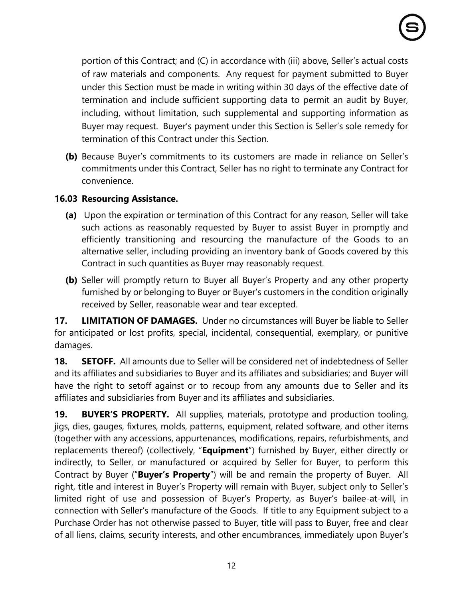portion of this Contract; and (C) in accordance with (iii) above, Seller's actual costs of raw materials and components. Any request for payment submitted to Buyer under this Section must be made in writing within 30 days of the effective date of termination and include sufficient supporting data to permit an audit by Buyer, including, without limitation, such supplemental and supporting information as Buyer may request. Buyer's payment under this Section is Seller's sole remedy for termination of this Contract under this Section.

**(b)** Because Buyer's commitments to its customers are made in reliance on Seller's commitments under this Contract, Seller has no right to terminate any Contract for convenience.

## **16.03 Resourcing Assistance.**

- **(a)** Upon the expiration or termination of this Contract for any reason, Seller will take such actions as reasonably requested by Buyer to assist Buyer in promptly and efficiently transitioning and resourcing the manufacture of the Goods to an alternative seller, including providing an inventory bank of Goods covered by this Contract in such quantities as Buyer may reasonably request.
- **(b)** Seller will promptly return to Buyer all Buyer's Property and any other property furnished by or belonging to Buyer or Buyer's customers in the condition originally received by Seller, reasonable wear and tear excepted.

**17. LIMITATION OF DAMAGES.** Under no circumstances will Buyer be liable to Seller for anticipated or lost profits, special, incidental, consequential, exemplary, or punitive damages.

**18. SETOFF.** All amounts due to Seller will be considered net of indebtedness of Seller and its affiliates and subsidiaries to Buyer and its affiliates and subsidiaries; and Buyer will have the right to setoff against or to recoup from any amounts due to Seller and its affiliates and subsidiaries from Buyer and its affiliates and subsidiaries.

**19. BUYER'S PROPERTY.** All supplies, materials, prototype and production tooling, jigs, dies, gauges, fixtures, molds, patterns, equipment, related software, and other items (together with any accessions, appurtenances, modifications, repairs, refurbishments, and replacements thereof) (collectively, "**Equipment**") furnished by Buyer, either directly or indirectly, to Seller, or manufactured or acquired by Seller for Buyer, to perform this Contract by Buyer ("**Buyer's Property**") will be and remain the property of Buyer. All right, title and interest in Buyer's Property will remain with Buyer, subject only to Seller's limited right of use and possession of Buyer's Property, as Buyer's bailee-at-will, in connection with Seller's manufacture of the Goods. If title to any Equipment subject to a Purchase Order has not otherwise passed to Buyer, title will pass to Buyer, free and clear of all liens, claims, security interests, and other encumbrances, immediately upon Buyer's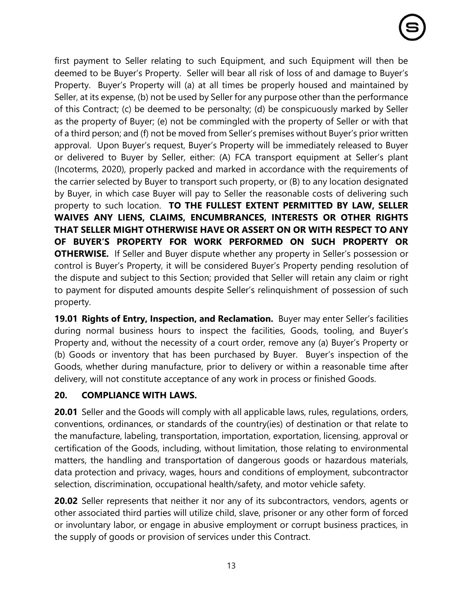first payment to Seller relating to such Equipment, and such Equipment will then be deemed to be Buyer's Property. Seller will bear all risk of loss of and damage to Buyer's Property. Buyer's Property will (a) at all times be properly housed and maintained by Seller, at its expense, (b) not be used by Seller for any purpose other than the performance of this Contract; (c) be deemed to be personalty; (d) be conspicuously marked by Seller as the property of Buyer; (e) not be commingled with the property of Seller or with that of a third person; and (f) not be moved from Seller's premises without Buyer's prior written approval. Upon Buyer's request, Buyer's Property will be immediately released to Buyer or delivered to Buyer by Seller, either: (A) FCA transport equipment at Seller's plant (Incoterms, 2020), properly packed and marked in accordance with the requirements of the carrier selected by Buyer to transport such property, or (B) to any location designated by Buyer, in which case Buyer will pay to Seller the reasonable costs of delivering such property to such location. **TO THE FULLEST EXTENT PERMITTED BY LAW, SELLER WAIVES ANY LIENS, CLAIMS, ENCUMBRANCES, INTERESTS OR OTHER RIGHTS THAT SELLER MIGHT OTHERWISE HAVE OR ASSERT ON OR WITH RESPECT TO ANY OF BUYER'S PROPERTY FOR WORK PERFORMED ON SUCH PROPERTY OR OTHERWISE.** If Seller and Buyer dispute whether any property in Seller's possession or control is Buyer's Property, it will be considered Buyer's Property pending resolution of the dispute and subject to this Section; provided that Seller will retain any claim or right to payment for disputed amounts despite Seller's relinquishment of possession of such property.

**19.01 Rights of Entry, Inspection, and Reclamation.** Buyer may enter Seller's facilities during normal business hours to inspect the facilities, Goods, tooling, and Buyer's Property and, without the necessity of a court order, remove any (a) Buyer's Property or (b) Goods or inventory that has been purchased by Buyer. Buyer's inspection of the Goods, whether during manufacture, prior to delivery or within a reasonable time after delivery, will not constitute acceptance of any work in process or finished Goods.

## **20. COMPLIANCE WITH LAWS.**

**20.01** Seller and the Goods will comply with all applicable laws, rules, regulations, orders, conventions, ordinances, or standards of the country(ies) of destination or that relate to the manufacture, labeling, transportation, importation, exportation, licensing, approval or certification of the Goods, including, without limitation, those relating to environmental matters, the handling and transportation of dangerous goods or hazardous materials, data protection and privacy, wages, hours and conditions of employment, subcontractor selection, discrimination, occupational health/safety, and motor vehicle safety.

**20.02** Seller represents that neither it nor any of its subcontractors, vendors, agents or other associated third parties will utilize child, slave, prisoner or any other form of forced or involuntary labor, or engage in abusive employment or corrupt business practices, in the supply of goods or provision of services under this Contract.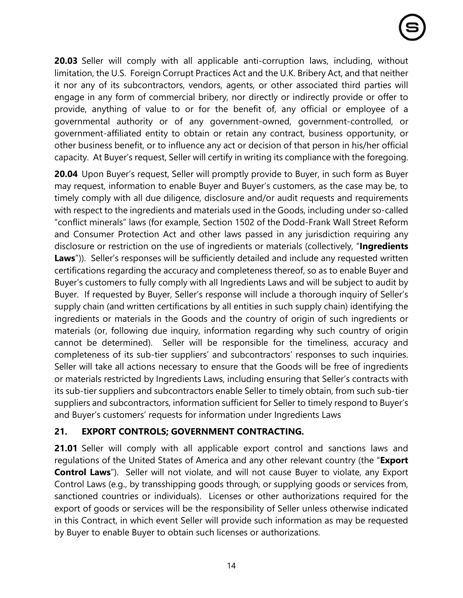**20.03** Seller will comply with all applicable anti-corruption laws, including, without limitation, the U.S. Foreign Corrupt Practices Act and the U.K. Bribery Act, and that neither it nor any of its subcontractors, vendors, agents, or other associated third parties will engage in any form of commercial bribery, nor directly or indirectly provide or offer to provide, anything of value to or for the benefit of, any official or employee of a governmental authority or of any government-owned, government-controlled, or government-affiliated entity to obtain or retain any contract, business opportunity, or other business benefit, or to influence any act or decision of that person in his/her official capacity. At Buyer's request, Seller will certify in writing its compliance with the foregoing.

**20.04** Upon Buyer's request, Seller will promptly provide to Buyer, in such form as Buyer may request, information to enable Buyer and Buyer's customers, as the case may be, to timely comply with all due diligence, disclosure and/or audit requests and requirements with respect to the ingredients and materials used in the Goods, including under so-called "conflict minerals" laws (for example, Section 1502 of the Dodd-Frank Wall Street Reform and Consumer Protection Act and other laws passed in any jurisdiction requiring any disclosure or restriction on the use of ingredients or materials (collectively, "**Ingredients**  Laws")). Seller's responses will be sufficiently detailed and include any requested written certifications regarding the accuracy and completeness thereof, so as to enable Buyer and Buyer's customers to fully comply with all Ingredients Laws and will be subject to audit by Buyer. If requested by Buyer, Seller's response will include a thorough inquiry of Seller's supply chain (and written certifications by all entities in such supply chain) identifying the ingredients or materials in the Goods and the country of origin of such ingredients or materials (or, following due inquiry, information regarding why such country of origin cannot be determined). Seller will be responsible for the timeliness, accuracy and completeness of its sub-tier suppliers' and subcontractors' responses to such inquiries. Seller will take all actions necessary to ensure that the Goods will be free of ingredients or materials restricted by Ingredients Laws, including ensuring that Seller's contracts with its sub-tier suppliers and subcontractors enable Seller to timely obtain, from such sub-tier suppliers and subcontractors, information sufficient for Seller to timely respond to Buyer's and Buyer's customers' requests for information under Ingredients Laws

## **21. EXPORT CONTROLS; GOVERNMENT CONTRACTING.**

**21.01** Seller will comply with all applicable export control and sanctions laws and regulations of the United States of America and any other relevant country (the "**Export Control Laws**"). Seller will not violate, and will not cause Buyer to violate, any Export Control Laws (e.g., by transshipping goods through, or supplying goods or services from, sanctioned countries or individuals). Licenses or other authorizations required for the export of goods or services will be the responsibility of Seller unless otherwise indicated in this Contract, in which event Seller will provide such information as may be requested by Buyer to enable Buyer to obtain such licenses or authorizations.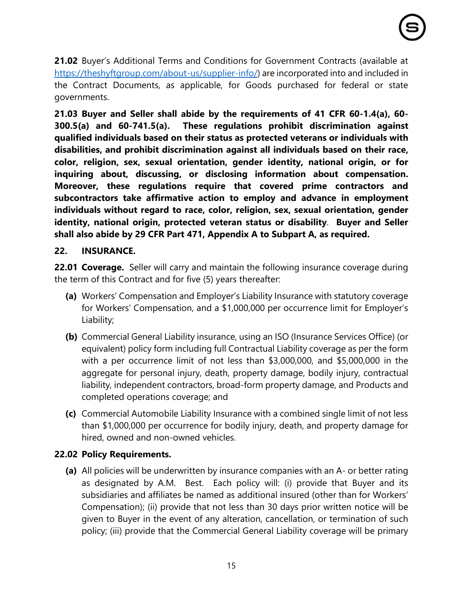**21.02** Buyer's Additional Terms and Conditions for Government Contracts (available at [https://theshyftgroup.com/about-us/supplier-info/\)](https://theshyftgroup.com/about-us/supplier-info/) are incorporated into and included in the Contract Documents, as applicable, for Goods purchased for federal or state governments.

**21.03 Buyer and Seller shall abide by the requirements of 41 CFR 60-1.4(a), 60- 300.5(a) and 60-741.5(a). These regulations prohibit discrimination against qualified individuals based on their status as protected veterans or individuals with disabilities, and prohibit discrimination against all individuals based on their race, color, religion, sex, sexual orientation, gender identity, national origin, or for inquiring about, discussing, or disclosing information about compensation. Moreover, these regulations require that covered prime contractors and subcontractors take affirmative action to employ and advance in employment individuals without regard to race, color, religion, sex, sexual orientation, gender identity, national origin, protected veteran status or disability**. **Buyer and Seller shall also abide by 29 CFR Part 471, Appendix A to Subpart A, as required.**

## **22. INSURANCE.**

**22.01 Coverage.** Seller will carry and maintain the following insurance coverage during the term of this Contract and for five (5) years thereafter:

- **(a)** Workers' Compensation and Employer's Liability Insurance with statutory coverage for Workers' Compensation, and a \$1,000,000 per occurrence limit for Employer's Liability;
- **(b)** Commercial General Liability insurance, using an ISO (Insurance Services Office) (or equivalent) policy form including full Contractual Liability coverage as per the form with a per occurrence limit of not less than \$3,000,000, and \$5,000,000 in the aggregate for personal injury, death, property damage, bodily injury, contractual liability, independent contractors, broad-form property damage, and Products and completed operations coverage; and
- **(c)** Commercial Automobile Liability Insurance with a combined single limit of not less than \$1,000,000 per occurrence for bodily injury, death, and property damage for hired, owned and non-owned vehicles.

## **22.02 Policy Requirements.**

**(a)** All policies will be underwritten by insurance companies with an A- or better rating as designated by A.M. Best. Each policy will: (i) provide that Buyer and its subsidiaries and affiliates be named as additional insured (other than for Workers' Compensation); (ii) provide that not less than 30 days prior written notice will be given to Buyer in the event of any alteration, cancellation, or termination of such policy; (iii) provide that the Commercial General Liability coverage will be primary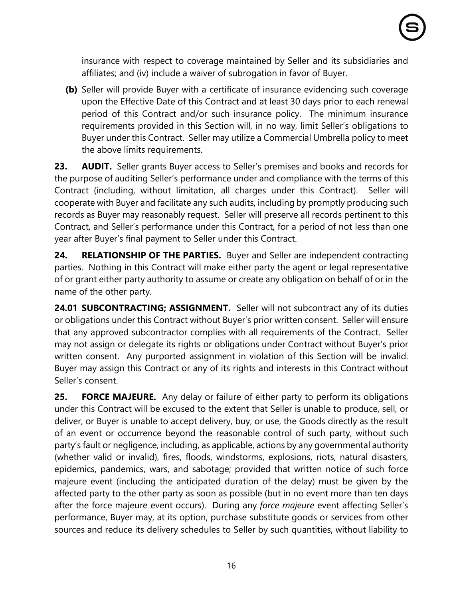insurance with respect to coverage maintained by Seller and its subsidiaries and affiliates; and (iv) include a waiver of subrogation in favor of Buyer.

**(b)** Seller will provide Buyer with a certificate of insurance evidencing such coverage upon the Effective Date of this Contract and at least 30 days prior to each renewal period of this Contract and/or such insurance policy. The minimum insurance requirements provided in this Section will, in no way, limit Seller's obligations to Buyer under this Contract. Seller may utilize a Commercial Umbrella policy to meet the above limits requirements.

**23. AUDIT.** Seller grants Buyer access to Seller's premises and books and records for the purpose of auditing Seller's performance under and compliance with the terms of this Contract (including, without limitation, all charges under this Contract). Seller will cooperate with Buyer and facilitate any such audits, including by promptly producing such records as Buyer may reasonably request. Seller will preserve all records pertinent to this Contract, and Seller's performance under this Contract, for a period of not less than one year after Buyer's final payment to Seller under this Contract.

**24. RELATIONSHIP OF THE PARTIES.** Buyer and Seller are independent contracting parties. Nothing in this Contract will make either party the agent or legal representative of or grant either party authority to assume or create any obligation on behalf of or in the name of the other party.

**24.01 SUBCONTRACTING; ASSIGNMENT.** Seller will not subcontract any of its duties or obligations under this Contract without Buyer's prior written consent. Seller will ensure that any approved subcontractor complies with all requirements of the Contract. Seller may not assign or delegate its rights or obligations under Contract without Buyer's prior written consent. Any purported assignment in violation of this Section will be invalid. Buyer may assign this Contract or any of its rights and interests in this Contract without Seller's consent.

**25. FORCE MAJEURE.** Any delay or failure of either party to perform its obligations under this Contract will be excused to the extent that Seller is unable to produce, sell, or deliver, or Buyer is unable to accept delivery, buy, or use, the Goods directly as the result of an event or occurrence beyond the reasonable control of such party, without such party's fault or negligence, including, as applicable, actions by any governmental authority (whether valid or invalid), fires, floods, windstorms, explosions, riots, natural disasters, epidemics, pandemics, wars, and sabotage; provided that written notice of such force majeure event (including the anticipated duration of the delay) must be given by the affected party to the other party as soon as possible (but in no event more than ten days after the force majeure event occurs). During any *force majeure* event affecting Seller's performance, Buyer may, at its option, purchase substitute goods or services from other sources and reduce its delivery schedules to Seller by such quantities, without liability to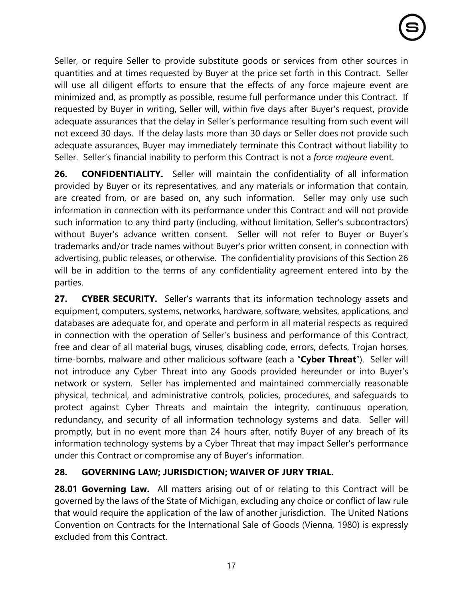Seller, or require Seller to provide substitute goods or services from other sources in quantities and at times requested by Buyer at the price set forth in this Contract. Seller will use all diligent efforts to ensure that the effects of any force majeure event are minimized and, as promptly as possible, resume full performance under this Contract. If requested by Buyer in writing, Seller will, within five days after Buyer's request, provide adequate assurances that the delay in Seller's performance resulting from such event will not exceed 30 days. If the delay lasts more than 30 days or Seller does not provide such adequate assurances, Buyer may immediately terminate this Contract without liability to Seller. Seller's financial inability to perform this Contract is not a *force majeure* event.

**26. CONFIDENTIALITY.** Seller will maintain the confidentiality of all information provided by Buyer or its representatives, and any materials or information that contain, are created from, or are based on, any such information. Seller may only use such information in connection with its performance under this Contract and will not provide such information to any third party (including, without limitation, Seller's subcontractors) without Buyer's advance written consent. Seller will not refer to Buyer or Buyer's trademarks and/or trade names without Buyer's prior written consent, in connection with advertising, public releases, or otherwise. The confidentiality provisions of this Section 26 will be in addition to the terms of any confidentiality agreement entered into by the parties.

**27. CYBER SECURITY.** Seller's warrants that its information technology assets and equipment, computers, systems, networks, hardware, software, websites, applications, and databases are adequate for, and operate and perform in all material respects as required in connection with the operation of Seller's business and performance of this Contract, free and clear of all material bugs, viruses, disabling code, errors, defects, Trojan horses, time-bombs, malware and other malicious software (each a "**Cyber Threat**"). Seller will not introduce any Cyber Threat into any Goods provided hereunder or into Buyer's network or system. Seller has implemented and maintained commercially reasonable physical, technical, and administrative controls, policies, procedures, and safeguards to protect against Cyber Threats and maintain the integrity, continuous operation, redundancy, and security of all information technology systems and data. Seller will promptly, but in no event more than 24 hours after, notify Buyer of any breach of its information technology systems by a Cyber Threat that may impact Seller's performance under this Contract or compromise any of Buyer's information.

# **28. GOVERNING LAW; JURISDICTION; WAIVER OF JURY TRIAL.**

**28.01 Governing Law.** All matters arising out of or relating to this Contract will be governed by the laws of the State of Michigan, excluding any choice or conflict of law rule that would require the application of the law of another jurisdiction. The United Nations Convention on Contracts for the International Sale of Goods (Vienna, 1980) is expressly excluded from this Contract.